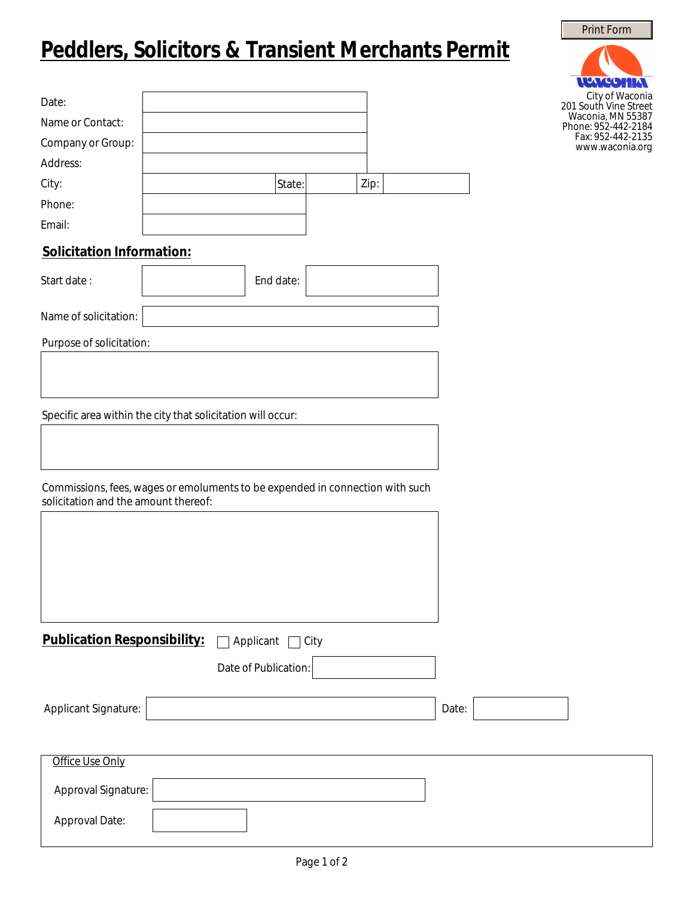## **Peddlers, Solicitors & Transient Merchants Permit**

| Date:                            |  |        |      |  |
|----------------------------------|--|--------|------|--|
| Name or Contact:                 |  |        |      |  |
| Company or Group:                |  |        |      |  |
| Address:                         |  |        |      |  |
| City:                            |  | State: | Zip: |  |
| Phone:                           |  |        |      |  |
| Email:                           |  |        |      |  |
| <b>Solicitation Information:</b> |  |        |      |  |
|                                  |  |        |      |  |

| Start date: | End date: |  |
|-------------|-----------|--|

Name of solicitation:

Purpose of solicitation:

 $\overline{1}$ 

Specific area within the city that solicitation will occur:

Commissions, fees, wages or emoluments to be expended in connection with such solicitation and the amount thereof:

| <b>Publication Responsibility:</b> | Applicant<br>City    |       |
|------------------------------------|----------------------|-------|
|                                    | Date of Publication: |       |
| Applicant Signature:               |                      | Date: |
|                                    |                      |       |
| Office Use Only                    |                      |       |
| Approval Signature:                |                      |       |
| Approval Date:                     |                      |       |

Print Form